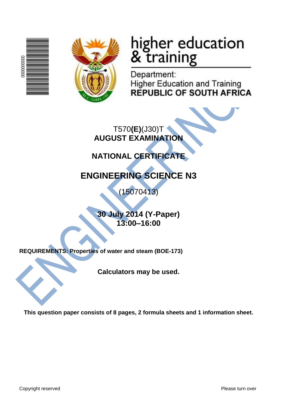



# higher education<br>& training

Department: **Higher Education and Training REPUBLIC OF SOUTH AFRICA** 

T570**(E)**(J30)T **AUGUST EXAMINATION**

# **NATIONAL CERTIFICATE**

# **ENGINEERING SCIENCE N3**

(15070413)

**30 July 2014 (Y-Paper) 13:00–16:00**

**REQUIREMENTS: Properties of water and steam (BOE-173)**

**Calculators may be used.**

**This question paper consists of 8 pages, 2 formula sheets and 1 information sheet.**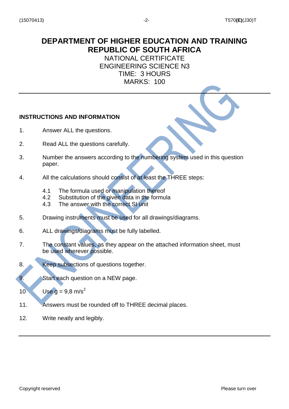# **DEPARTMENT OF HIGHER EDUCATION AND TRAINING REPUBLIC OF SOUTH AFRICA**

NATIONAL CERTIFICATE ENGINEERING SCIENCE N3 TIME: 3 HOURS MARKS: 100

#### **INSTRUCTIONS AND INFORMATION**

- 1. Answer ALL the questions.
- 2. Read ALL the questions carefully.
- 3. Number the answers according to the numbering system used in this question paper.
- 4. All the calculations should consist of at least the THREE steps:
	- 4.1 The formula used or manipulation thereof
	- 4.2 Substitution of the given data in the formula
	- 4.3 The answer with the correct SI unit
- 5. Drawing instruments must be used for all drawings/diagrams.
- 6. ALL drawings/diagrams must be fully labelled.
- 7. The constant values, as they appear on the attached information sheet, must be used wherever possible.
- 8. Keep subsections of questions together.
- 9. Start each question on a NEW page.
- 10 Use  $q = 9.8$  m/s<sup>2</sup>
- 11. Answers must be rounded off to THREE decimal places.
- 12. Write neatly and legibly.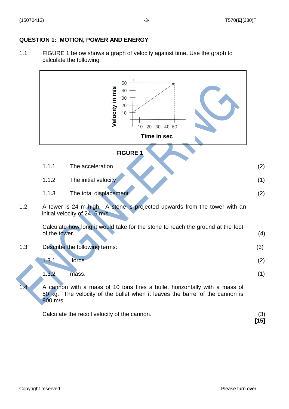#### **QUESTION 1: MOTION, POWER AND ENERGY**

1.1 FIGURE 1 below shows a graph of velocity against time**.** Use the graph to calculate the following:

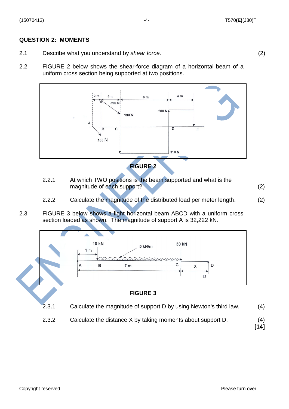#### (15070413) -4- T570**(E)**(J30)T

#### **QUESTION 2: MOMENTS**

- 2.1 Describe what you understand by *shear force*. (2)
- 2.2 FIGURE 2 below shows the shear-force diagram of a horizontal beam of a uniform cross section being supported at two positions.



2.2.1 At which TWO positions is the beam supported and what is the magnitude of each support? (2) (2)

- 2.2.2 Calculate the magnitude of the distributed load per meter length. (2)
- 2.3 FIGURE 3 below shows a light horizontal beam ABCD with a uniform cross section loaded as shown. The magnitude of support A is 32,222 kN.



2.3.2 Calculate the distance X by taking moments about support D. (4)

**[14]**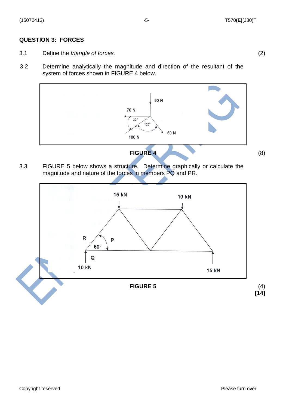#### (15070413) -5- T570**(E)**(J30)T

#### **QUESTION 3: FORCES**

- 3.1 Define the *triangle of forces.* (2)
- 3.2 Determine analytically the magnitude and direction of the resultant of the system of forces shown in FIGURE 4 below.



3.3 FIGURE 5 below shows a structure. Determine graphically or calculate the magnitude and nature of the forces in members PQ and PR.

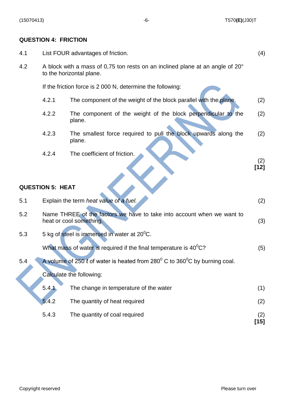### **QUESTION 4: FRICTION**

| 4.1 | (4)<br>List FOUR advantages of friction.                                                                   |                                                                           |             |  |  |
|-----|------------------------------------------------------------------------------------------------------------|---------------------------------------------------------------------------|-------------|--|--|
| 4.2 | A block with a mass of 0,75 ton rests on an inclined plane at an angle of 20°<br>to the horizontal plane.  |                                                                           |             |  |  |
|     | If the friction force is 2 000 N, determine the following:                                                 |                                                                           |             |  |  |
|     | 4.2.1                                                                                                      | The component of the weight of the block parallel with the plane.         | (2)         |  |  |
|     | 4.2.2                                                                                                      | The component of the weight of the block perpendicular to the<br>plane.   | (2)         |  |  |
|     | 4.2.3                                                                                                      | The smallest force required to pull the block upwards along the<br>plane. | (2)         |  |  |
|     | 4.2.4                                                                                                      | The coefficient of friction.                                              | (2)         |  |  |
|     |                                                                                                            |                                                                           | $[12]$      |  |  |
|     | <b>QUESTION 5: HEAT</b>                                                                                    |                                                                           |             |  |  |
| 5.1 |                                                                                                            | Explain the term heat value of a fuel.                                    | (2)         |  |  |
| 5.2 | Name THREE of the factors we have to take into account when we want to<br>heat or cool something.          |                                                                           |             |  |  |
| 5.3 | 5 kg of steel is immersed in water at 20 <sup>0</sup> C.                                                   |                                                                           |             |  |  |
|     |                                                                                                            | What mass of water is required if the final temperature is $40^0$ C?      | (5)         |  |  |
| 5.4 | A volume of 250 $\ell$ of water is heated from 280 $\mathrm{^0}$ C to 360 $\mathrm{^0}$ C by burning coal. |                                                                           |             |  |  |
|     | Calculate the following:                                                                                   |                                                                           |             |  |  |
|     | 5.4.1                                                                                                      | The change in temperature of the water                                    | (1)         |  |  |
|     | 5.4.2                                                                                                      | The quantity of heat required                                             | (2)         |  |  |
|     | 5.4.3                                                                                                      | The quantity of coal required                                             | (2)<br>[15] |  |  |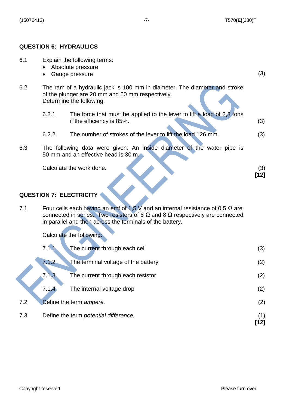#### **QUESTION 6: HYDRAULICS**

6.1 Explain the following terms: • Absolute pressure • Gauge pressure (3) 6.2 The ram of a hydraulic jack is 100 mm in diameter. The diameter and stroke of the plunger are 20 mm and 50 mm respectively. Determine the following: 6.2.1 The force that must be applied to the lever to lift a load of 2,3 tons if the efficiency is  $85\%$ . (3) 6.2.2 The number of strokes of the lever to lift the load 126 mm. (3) 6.3 The following data were given: An inside diameter of the water pipe is 50 mm and an effective head is 30 m. Calculate the work done. (3) **[12]**

#### **QUESTION 7: ELECTRICITY**

7.1 Four cells each having an emf of 1,5 V and an internal resistance of 0,5  $\Omega$  are connected in series. Two resistors of 6 Ω and 8 Ω respectively are connected in parallel and then across the terminals of the battery.

Calculate the following:

|     | 7.1.1                                 | The current through each cell       | (3) |
|-----|---------------------------------------|-------------------------------------|-----|
|     | 7.1.2                                 | The terminal voltage of the battery | (2) |
|     | 7.1.3                                 | The current through each resistor   | (2) |
|     | 7.1.4                                 | The internal voltage drop           | (2) |
| 7.2 | Define the term ampere.               |                                     | (2) |
| 7.3 | Define the term potential difference. |                                     |     |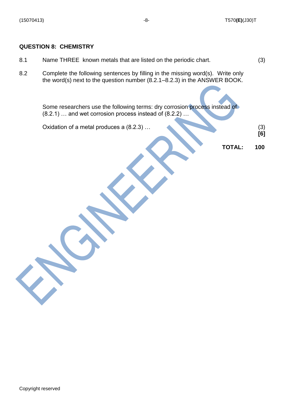#### **QUESTION 8: CHEMISTRY**

- 8.1 Name THREE known metals that are listed on the periodic chart. (3)
- 8.2 Complete the following sentences by filling in the missing word(s). Write only the word(s) next to the question number (8.2.1–8.2.3) in the ANSWER BOOK.

Some researchers use the following terms: dry corrosion process instead of (8.2.1) … and wet corrosion process instead of (8.2.2) …

Oxidation of a metal produces a (8.2.3) …

 **[6]**

**TOTAL: 100**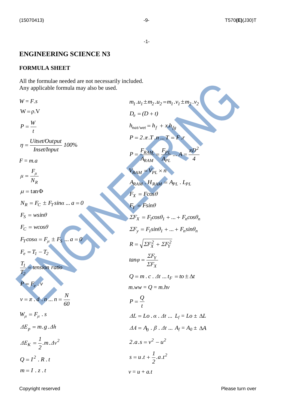#### **ENGINEERING SCIENCE N3**

#### **FORMULA SHEET**

All the formulae needed are not necessarily included. Any applicable formula may also be used.

 $W = F.s$  $W = \rho.V$ *t*  $P = \frac{W}{A}$ *100*% *Inset/Input*  $\eta = \frac{Uitset/Output}{\sqrt{U}}$ *F* = *m.a R μ N F μ*  $\mu = \tan \Phi$  $N_R = F_C \pm F_T \sin\alpha \dots a = 0$  $F_S = w \sin \theta$  $F_C = wcos\theta$  $F_T \cos \alpha = F_\mu \pm F_S \ldots a = 0$  $F_e = T_1 - T_2$ *tension ratio T T 2*  $\frac{1}{2}$  $P = F_e \cdot v$ *60*  $v = \pi \cdot d \cdot n ... n = \frac{N}{\epsilon}$  $W_{\mu} = F_{\mu} \cdot s$ *ΔE<sup>p</sup> m.g .Δh*  $Z_K = \frac{1}{2} m \Delta v^2$  $\Delta E_K = \frac{I}{I}$  $Q = I^2 \cdot R \cdot t$  $m = I \cdot z \cdot t$  $m_1 \cdot u_1 \pm m_2 \cdot u_2 = m_1 \cdot v_1 \pm m_2 \cdot v_2$  $D_e = (D + t)$  $h_{\text{nat/wet}} = h_f + x \cdot h_{\text{fg}}$  $P = 2 \cdot \pi \cdot T \cdot n \cdot T =$ *4 πD ... A A F A*  $P = \frac{F}{\sqrt{2}}$ *2 PL PL RAM*  $=\frac{r_{RAM}}{r_{PL}} = \frac{r_{PL}}{r_{PL}}$   $\ldots$  A =  $V_{RAM} = V_{PL} \times n$  $A_{RAM} \cdot H_{RAM} = A_{PL} \cdot L_{PL}$  $F_X = F \cos \theta$  $F_Y = Fsin\theta$  $\Sigma F_X = F_I cos \theta_1 + ... + F_n cos \theta_n$  $\Sigma F_y = F_l \sin \theta_l + \dots + F_n \sin \theta_n$ *2*  $R = \sqrt{\sum F_X^2 + \sum F_Y^2}$ *X Y ΣF*  $tan\varphi = \frac{\Sigma F}{\Sigma F}$  $Q = m \cdot c \cdot \Delta t \cdot \Delta t \cdot \Delta t = to \pm \Delta t$  $m.ww = Q = m.hv$ *t*  $P = \frac{Q}{A}$  $\Delta L = Lo \cdot \alpha \cdot \Delta t \cdot ... \cdot L_f = Lo \pm \Delta L$  $\Delta A = A_0 \cdot \beta \cdot \Delta t \dots A_f = A_0 \pm \Delta A$  $2.a.s = v^2 - u^2$ *2 .a.t 2*  $s = u \cdot t + \frac{1}{2}$  $v = u + a.t$ 

Copyright reserved **Please turn over the control of the Copyright reserved** Please turn over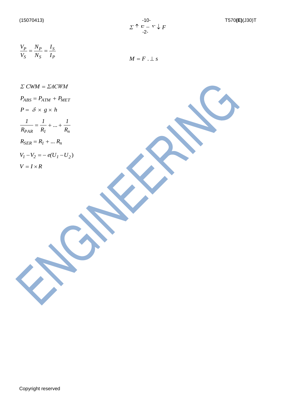$$
\frac{V_P}{V_S} = \frac{N_P}{N_S} = \frac{I_S}{I_P}
$$
\n
$$
M = F
$$

 $\perp$ *s* 

*Σ CWM ΣACWM*  $P_{ABS} = P_{ATM} + P_{MET}$  $P = \delta \times g \times h$  $P_{AR}$   $R_I$   $R_n$  $... + \frac{1}{2}$ *R 1 R*  $\frac{1}{\sqrt{2}} = \frac{1}{2} + ... +$  $R_{SER} = R_1 + ... R_n$  $V_1 - V_2 = -e(U_1 - U_2)$  $V = I \times R$